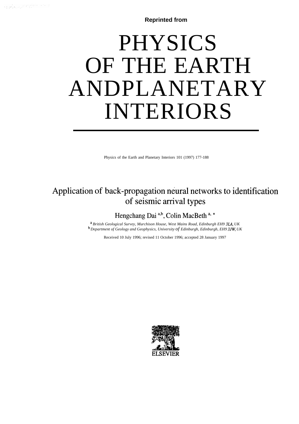**Reprinted from**

# PHYSICS OF THE EARTH ANDPLANETARY INTERIORS

Physics of the Earth and Planetary Interiors 101 (1997) 177-188

# Application of back-propagation neural networks to identification of seismic arrival types

Hengchang Dai<sup>a,b</sup>, Colin MacBeth<sup>a,\*</sup>

*a British Geological Survey, Murchison House, West Mains Road, Edinburgh EH9 3LA, UK b Department of Geology and Geophysics, University of Edinburgh, Edinburgh, EH9 3JW, UK*

Received 10 July 1996; revised 11 October 1996; accepted 28 January 1997

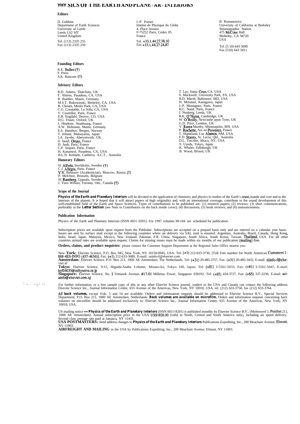# YHY SICS OF I HE EAK I H AND PLANE I AK I IN I EKIUKO

# **Editors**

D. Gubbins Department of Earth Sciences University of Leeds Leeds LS2 9JT United Kingdom Tel. (113) 2335 255 Fax (113) 2335 259

# **Founding Editors**

K.E. Bullen $(\dagger)$ F. Press<br>S.K. Runcom (†)

# **Advisory Editors**

- R.D. Adams, Thatcham, UK T. Ahrens, Pasadena, CA, USA R. Boehler, Mainz, Germany M.S.T. Bukowinski, Berkeley, CA, USA B. Chouet, Menlo Park, CA, USA C.G. Constable, La Jolla, CA, USA V. Courtillot, Paris, France E.R. Engdahl, Denver, CO, USA D.G. Fraser, Oxford, UK J. Hinderer, Strasbourg, France A.W. Hofmann, Mainz, Germany E.S. Husebye, Bergen, Norway T. Irifune, Matsuyama, Japan J.A. Jacobs, Aberystwyth, UK 0. Jaoul, **Orsay, F**rance<br>D. Jault, Paris, France<br>C.P. Jaupart, Paris, France H. Kanamori, Pasadena, CA, USA B.L.N. Kennett, Canberra, A.C.T., Australia **Honorary Editors**
- H. Alfvén, Stockholm, Sweden (†) C.J. Allègre, Paris, France<br>V.V. Belussov (Academician), Moscow, Russia (†) P. Melchior, Brussels, Belgium<br>H. **Ramberg,** Uppsala, Sweden<br>J. Tuzo Wilson, Toronto, Ont., Canada (†)

J.-P. Poirier Institut de Physique du Globe 4, Place Jussieu F-75252 Paris, Cedex 05 France Tel. +33.1.44.27.38.10 Fax +33.1.44.27.24.87

B. Romanowicz University of California at Berkeley Seismographic Station<br>475 McCone Hall Berkeley, CA 94720 USA

Tel. (5 10) 643 5690 Fax (510) 643 5811

T. Lay, Santa **Cruz,** CA, USA<br>S. Mackwell, University Park, PA, USA B.D. Marsh, Baltimore, MD, USA H. Mizutani, Kanagawa, Japan J.-P. Montagner, Paris, France H.C. Nataf, Paris, France J. Neuberg, Leeds, UK<br>R.K. **O'Nions,** Cambridge, UK<br>W. **O'Reilly**, Newcastle upon Tyne, UK<br>G.D. Price, London, UK V. Rama Murthy, Minneapolis, MN, USA<br>P. Rochette, Aix en **Provence**, France<br>T. Shankland, Los **Alamos**, NM, USA<br>F.D. **Stacey**, St. Lucia, Qld., Australia<br>D.L. Turcotte, Ithaca, NY, USA<br>S. Uyeda, Tokyo, Japan<br>K. Whaler, Edi B. Wood, Bristol, UK

# **Scope of the Journal**

Physics of the Earth and Planetary Interiors will be devoted to the application of chemistry and physics to studies of the Earth's crust, mantle and core and to the interiors of the planets. It is hoped that it will attract papers of high originality and, with an international coverage, contribute to the sound development of this interior of this state in the Earth and Space Sciences.

# **Publication Information**

Physics of the Earth and Planetary Interiors (ISSN 0031 -9201). For 1997 volumes 99-104 are scheduled for publication.

Subscription prices are available upon request from the Publisher. Subscriptions are accepted on a prepaid basis only and are entered on a calendar year basis.<br>Issues are sent by surface mail except to the following countr

**Orders, claims, and product enquiries:** please contact the Customer Support Department at the Regional Sales Office nearest you:

New **York:** Elsevier Science, P.O. Box 945, New York, NY 10159-0945, USA. Tel: (+1) 212-633-3730, [Toll Free number for North American Customers:1-<br>888-4ES-INFO (437-4636)], Fax: (+1) 212-633-3680, E-mail: usinfo-f@elsevie vier.nl

**Tokyo:** Elsevier Science, 9-15, Higashi-Azabu I-chome, Minato-ku, Tokyo 106, Japan. Tel: (+81) 3-5561-5033, Fax: (+81) 3-5561-5047, E-mail:<br>kyf04035@niftyserve.or.jp<br>**Singapore:** Elsevier Science, No. 1 Temasek Avenue, #1

ainfo@elsevier.com.sg

 $\mathcal{L}:=\mathcal{L} \cup \mathcal{L}$ 

For further information, or a free sample copy of this or any other Elsevier Science journal, readers in the USA and Canada can contact the following address:<br>Elsevier Science Inc., Journal Information Center, 655 Avenue

All back volumes, except Vols. 5 and 14 are available. Orders and information requests should be addressed to Elsevier Science B.V., Special Services<br>Department, P.O. Box 211, 1000 AE Amsterdam, Netherlands. *Back volumes* 10010, USA.

US mailing notice **— Physics of the Earth and Planetary Interiors** (ISSN 0031-9201) is published monthly by Elsevier Science B.V., (Molenwerf 1, Postbus 211, 1000 AE Amsterdam). Annual subscription price in the USA US\$1826

**AIRFREIGHT AND MAILING** in the USA by Publications Expediting, Inc., 200 Meacham Avenue, Elmont, NY 11003.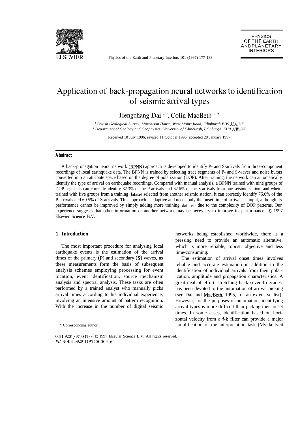

Physics of the Earth and Planetary Interiors 101 (1997) 177-188

# Application of back-propagation neural networks to identification of seismic arrival types

Hengchang Dai<sup>a,b</sup>, Colin MacBeth<sup>a,\*</sup>

*a British Geological Survey, Murchison House, West Mains Road, Edinburgh EH9 3LA, UK b Department of Geology and Geophysics, University of Edinburgh, Edinburgh, EH9 3JW, UK*

Received 10 July 1996; revised 11 October 1996; accepted 28 January 1997

# **Abstract**

A back-propagation neural network (BPNN) approach is developed to identify P- and S-arrivals from three-component recordings of local earthquake data. The BPNN is trained by selecting trace segments of P- and S-waves and noise bursts converted into an attribute space based on the degree of polarization (DOP). After training, the network can automatically identify the type of arrival on earthquake recordings. Compared with manual analysis, a BPNN trained with nine groups of DOP segments can correctly identify 82.3% of the P-arrivals and 62.6% of the S-arrivals from one seismic station, and when trained with five groups from a training dataset selected from another seismic station, it can correctly identify 76.6% of the P-arrivals and 60.5% of S-arrivals. This approach is adaptive and needs only the onset time of arrivals as input, although its performance cannot be improved by simply adding more training datasets due to the complexity of DOP patterns. Our experience suggests that other information or another network may be necessary to improve its performance. 0 1997 Elsevier Science B.V.

The most important procedure for analysing local earthquake events is the estimation of the arrival times of the primary  $(P)$  and secondary  $(S)$  waves, as these measurements form the basis of subsequent analysis schemes employing processing for event location, event identification, source mechanism analysis and spectral analysis. These tasks are often performed by a trained analyst who manually picks arrival times according to his individual experience, involving an intensive amount of pattern recognition. With the increase in the number of digital seismic

**1. Introduction 1. Introduction 1. Introduction** pressing need to provide an automatic alterative, which is more reliable, robust, objective and less time-consuming.

> The estimation of arrival onset times involves reliable and accurate estimation in addition to the identification of individual arrivals from their polarization, amplitude and propagation characteristics. A great deal of effort, stretching back several decades, has been devoted to the automation of arrival picking (see Dai and MacBeth, 1995, for an extensive list). However, for the purposes of automation, identifying arrival types is more difficult than picking their onset times. In some cases, identification based on horizontal velocity from a **f-k** filter can provide a major simplification of the interpretation task (Mykkeltveit

<sup>\*</sup> Corresponding author.

<sup>0031-9201/97/\$17.00 © 1997</sup> Elsevier Science B.V. All rights reserved. *PII* S003 1-920 1(97)00004-6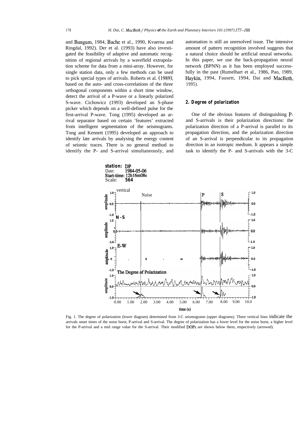and Bungum, 1984, Bache et al., 1990, Kvaerna and Ringdal, 1992). Der et al. (1993) have also investigated the feasibility of adaptive and automatic recognition of regional arrivals by a wavefield extrapolation scheme for data from a mini-array. However, for single station data, only a few methods can be used to pick special types of arrivals. Roberts et al. (1989), based on the auto- and cross-correlations of the three orthogonal components within a short time window, detect the arrival of a P-wave or a linearly polarized S-wave. Cichowicz (1993) developed an S-phase picker which depends on a well-defined pulse for the first-arrival P-wave. Tong (1995) developed an arrival separator based on certain 'features' extracted from intelligent segmentation of the seismograms. Tong and Kennett (1995) developed an approach to identify late arrivals by analysing the energy content of seismic traces. There is no general method to identify the P- and S-arrival simultaneously, and automation is still an unresolved issue. The intensive amount of pattern recognition involved suggests that a natural choice should be artificial neural networks. In this paper, we use the back-propagation neural network (BPNN) as it has been employed successfully in the past (Rumelhart et al., 1986, Pao, 1989, Haykin, 1994, Fausett, 1994, Dai and MacBeth, 1995).

# **2. Degree of polarization**

One of the obvious features of distinguishing Pand S-arrivals is their polarization directions: the polarization direction of a P-arrival is parallel to its propagation direction, and the polarization direction of an S-arrival is perpendicular to its propagation direction in an isotropic medium. It appears a simple task to identify the P- and S-arrivals with the 3-C



Fig. 1. The degree of polarization (lower diagram) determined from 3-C seismograms (upper diagrams). Three vertical lines indicate the arrivals onset times of the noise burst, P-arrival and S-arrival. The degree of polarization has a lower level for the noise burst, a higher level for the P-arrival and a mid range value for the S-arrival. Their modified DOPs are shown below them, respectively (arrowed).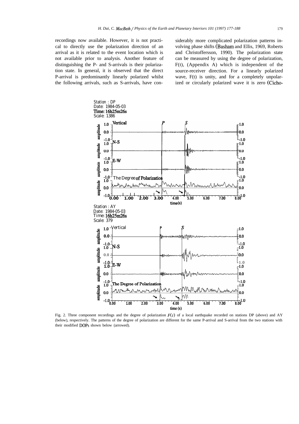recordings now available. However, it is not practical to directly use the polarization direction of an arrival as it is related to the event location which is not available prior to analysis. Another feature of distinguishing the P- and S-arrivals is their polarization state. In general, it is observed that the direct P-arrival is predominantly linearly polarized whilst the following arrivals, such as S-arrivals, have con-

siderably more complicated polarization patterns involving phase shifts (Basham and Ellis, 1969, Roberts and Christoffersson, 1990). The polarization state can be measured by using the degree of polarization,  $F(t)$ , (Appendix A) which is independent of the source-receiver direction. For a linearly polarized wave, F(t) is unity, and for a completely unpolarized or circularly polarized wave it is zero (Cicho-



Fig. 2. Three component recordings and the degree of polarization  $F(t)$  of a local earthquake recorded on stations DP (above) and AY (below), respectively. The patterns of the degree of polarization are different for the same P-arrival and S-arrival from the two stations with their modified DOPs shown below (arrowed).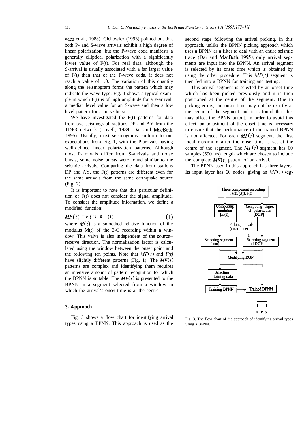wicz et al., 1988). Cichowicz (1993) pointed out that both P- and S-wave arrivals exhibit a high degree of linear polarization, but the P-wave coda manifests a generally elliptical polarization with a significantly lower value of F(t). For real data, although the S-arrival is usually associated with a far larger value of F(t) than that of the P-wave coda, it does not reach a value of 1.0. The variation of this quantity along the seismogram forms the pattern which may indicate the wave type. Fig. 1 shows a typical example in which F(t) is of high amplitude for a P-arrival, a median level value for an S-wave and then a low level pattern for a noise burst.

We have investigated the F(t) patterns for data from two seismograph stations DP and AY from the TDP3 network (Lovell, 1989, Dai and MacBeth, 1995). Usually, most seismograms conform to our expectations from Fig. 1, with the P-arrivals having well-defined linear polarization patterns. Although most P-arrivals differ from S-arrivals and noise bursts, some noise bursts were found similar to the seismic arrivals. Comparing the data from stations DP and AY, the F(t) patterns are different even for the same arrivals from the same earthquake source (Fig. 2).

It is important to note that this particular definition of F(t) does not consider the signal amplitude. To consider the amplitude information, we define a modified function:

$$
MF(t) = F(t) \quad \textbf{xii(t)} \tag{1}
$$

where  $\overline{M}(t)$  is a smoothed relative function of the modulus M(t) of the 3-C recording within a window. This valve is also independent of the sourcereceive direction. The normalization factor is calculated using the window between the onset point and the following ten points. Note that  $MF(t)$  and  $F(t)$ have slightly different patterns (Fig. 1). The *MF(t)* patterns are complex and identifying them requires an intensive amount of pattern recognition for which the BPNN is suitable. The  $MF(t)$  is presented to the BPNN in a segment selected from a window in which the arrival's onset-time is at the centre.

Fig. 3 shows a flow chart for identifying arrival Fig. 3. The flow chart of the approach of identifying arrival types types using a BPNN. This approach is used as the using a BPNN.

second stage following the arrival picking. In this approach, unlike the BPNN picking approach which uses a BPNN as a filter to deal with an entire seismic trace (Dai and MacBeth, 1995), only arrival segments are input into the BPNN. An arrival segment is selected by its onset time which is obtained by using the other procedure. This  $MF(t)$  segment is then fed into a BPNN for training and testing.

This arrival segment is selected by an onset time which has been picked previously and it is then positioned at the centre of the segment. Due to picking errors, the onset time may not be exactly at the centre of the segment and it is found that this may affect the BPNN output. In order to avoid this effect, an adjustment of the onset time is necessary to ensure that the performance of the trained BPNN is not affected. For each  $MF(t)$  segment, the first local maximum after the onset-time is set at the centre of the segment. The  $MF(t)$  segment has 60 samples (590 ms) length which are chosen to include the complete  $MF(t)$  pattern of an arrival.

The BPNN used in this approach has three layers. Its input layer has 60 nodes, giving an  $MF(t)$  seg-

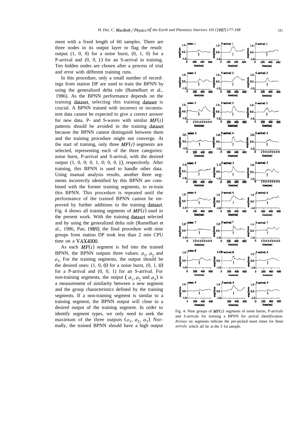ment with a fixed length of 60 samples. There are three nodes in its output layer to flag the result: output  $(1, 0, 0)$  for a noise burst,  $(0, 1, 0)$  for a P-arrival and (0, 0, 1) for an S-arrival in training. Ten hidden nodes are chosen after a process of trial and error with different training runs.

In this procedure, only a small number of recordings from station DP are used to train the BPNN by using the generalized delta rule (Rumelhart et al., 1986). As the BPNN performance depends on the training dataset, selecting this training dataset is crucial. A BPNN trained with incorrect or inconsistent data cannot be expected to give a correct answer for new data. P- and S-waves with similar  $MF(t)$ patterns should be avoided in the training dataset because the BPNN cannot distinguish between them and the training procedure might not converge. At the start of training, only three  $MF(t)$  segments are selected, representing each of the three categories: noise burst, P-arrival and S-arrival, with the desired output (1, 0, 0; 0, 1, 0; 0, 0, l), respectively. After training, this BPNN is used to handle other data. Using manual analysis results, another three segments incorrectly identified by this BPNN are combined with the former training segments, to re-train this BPNN. This procedure is repeated until the performance of the trained BPNN cannot be improved by further additions to the training dataset. Fig. 4 shows all training segments of  $MF(t)$  used in the present work. With the training dataset selected and by using the generalized delta rule (Rumelhart et al., 1986, Pao, 1989), the final procedure with nine groups from station DP took less than 2 min CPU time on a VAX4000.

As each  $MF(t)$  segment is fed into the trained BPNN, the BPNN outputs three values:  $o_1$ ,  $o_2$  and  $o_3$ . For the training segments, the output should be the desired ones:  $(1, 0, 0)$  for a noise burst,  $(0, 1, 0)$ for a P-arrival and (0, 0, 1) for an S-arrival. For non-training segments, the output ( $o_1, o_2$  and  $o_3$ ) is a measurement of similarity between a new segment and the group characteristics defined by the training segments. If a non-training segment is similar to a training segment, the BPNN output will close to a desired output of the training segment. In order to identify segment types, we only need to seek the maximum of the three outputs  $(o_1, o_2, o_3)$ . Normally, the trained BPNN should have a high output

Fig. 4. Nine groups of  $MF(t)$  segments of noise bursts, P-arrivals and S-arrivals for training a BPNN for arrival identification. *Arrows* on segments indicate the pre-picked onset times for these arrivals which all lie at the 3 1st sample.





**1.0,** *n* **1.0,** *n 1.0***, <b>***n* **1.0**, *n 1.0***, <b>***s* **1.0**, *s* **1.0**, *s* 

 $\frac{1}{2}$  00  $\frac{1}{2}$  (y)  $\frac{1}{2}$  (y)  $\frac{1}{2}$  (y)  $\frac{1}{2}$  (y)  $\frac{1}{2}$  (y)  $\frac{1}{2}$  (y)  $\frac{1}{2}$ 200400600 <sup>0</sup> z4n400600 **<sup>0</sup> <sup>200400600</sup>**

erival: 6

 $1.0$ 

 $10$ 

**1.0** - S-arrival: 5

urival: 6

 $1.0$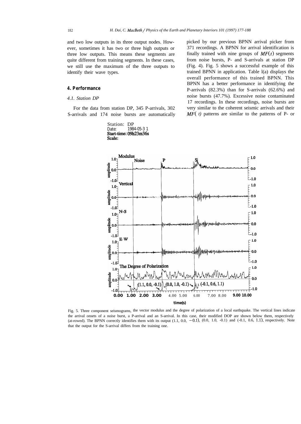and two low outputs in its three output nodes. However, sometimes it has two or three high outputs or three low outputs. This means these segments are quite different from training segments. In these cases, we still use the maximum of the three outputs to identify their wave types.

# **4. Performance**

# *4.1. Station DP*

For the data from station DP, 345 P-arrivals, 302 S-arrivals and 174 noise bursts are automatically

> Station: DP<br>Date: 198 1984-05-3 1 Start-time: 09h23m36s<br>Scale:

picked by our previous BPNN arrival picker from 371 recordings. A BPNN for arrival identification is finally trained with nine groups of  $MF(t)$  segments from noise bursts, P- and S-arrivals at station DP (Fig. 4). Fig. 5 shows a successful example of this trained BPNN in application. Table l(a) displays the overall performance of this trained BPNN. This BPNN has a better performance in identifying the P-arrivals (82.3%) than for S-arrivals (62.6%) and noise bursts (47.7%). Excessive noise contaminated 17 recordings. In these recordings, noise bursts are very similar to the coherent seismic arrivals and their  $MF($  t) patterns are similar to the patterns of P- or



Fig. 5. Three component seismograms, the vector modulus and the degree of polarization of a local earthquake. The vertical lines indicate the arrival onsets of a noise burst, a P-arrival and an S-arrival. In this case, their modified DOP are shown below them, respectively (at-rowed). The BPNN correctly identifies them with its output  $(1.1, 0.0, -0.1)$ ,  $(0.0, 1.0, -0.1)$  and  $(-0.1, 0.6, 1.1)$ , respectively. Note that the output for the S-arrival differs from the training one.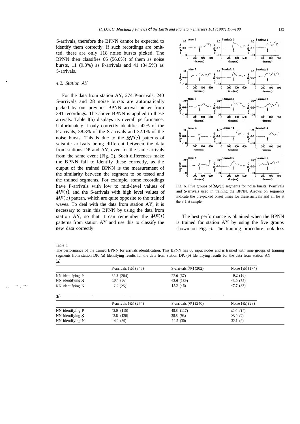*H. Dai, C. MacBeth/ Physics of the Earth and Planetary Interiors 101 (1997) 177-188* <sup>183</sup>

S-arrivals, therefore the BPNN cannot be expected to identify them correctly. If such recordings are omitted, there are only 118 noise bursts picked. The BPNN then classifies 66 (56.0%) of them as noise bursts, 11 (9.3%) as P-arrivals and 41 (34.5%) as S-arrivals.

# 4.2. Station AY

For the data from station AY, 274 P-arrivals, 240 S-arrivals and 28 noise bursts are automatically picked by our previous BPNN arrival picker from 391 recordings. The above BPNN is applied to these arrivals. Table l(b) displays its overall performance. Unfortunately it only correctly identifies 42% of the P-arrivals, 38.8% of the S-arrivals and 32.1% of the noise bursts. This is due to the  $MF(t)$  patterns of seismic arrivals being different between the data from stations DP and AY, even for the same arrivals from the same event (Fig. 2). Such differences make the BPNN fail to identify these correctly, as the output of the trained BPNN is the measurement of the similarity between the segment to be tested and the trained segments. For example, some recordings have P-arrivals with low to mid-level values of  $MF(t)$ , and the S-arrivals with high level values of *MF( t)* pattern, which are quite opposite to the trained waves. To deal with the data from station AY, it is necessary to train this BPNN by using the data from station AY, so that it can remember the  $MF(t)$ patterns from station AY and use this to classify the new data correctly.



Fig. 6. Five groups of  $MF(t)$  segments for noise bursts, P-arrivals and S-arrivals used in training the BPNN. Arrows on segments indicate the pre-picked onset times for these arrivals and all lie at the 3 1 st sample.

The best performance is obtained when the BPNN is trained for station AY by using the five groups shown on Fig. 6. The training procedure took less

# Table 1

.:.

 $\cdot$  :

The performance of the trained BPNN for arrivals identification. This BPNN has 60 input nodes and is trained with nine groups of training segments from station DP. (a) Identifying results for the data from station DP. (b) Identifying results for the data from station AY  $(a)$ 

|         |                                | P-arrivals $(\%)$ (345) | S-arrivals $(\%)$ (302) | Noise $(\%)$ (174) |
|---------|--------------------------------|-------------------------|-------------------------|--------------------|
|         | NN identifying P               | 82.3 (284)              | 22.0(67)                | 9.2(16)            |
|         | $NN$ identifying $S$           | 10.4(36)                | 62.6 (189)              | 43.0 (75)          |
| المسابد | NN identifying N               | 7.2(25)                 | 15.2(46)                | 47.7 (83)          |
|         | (b)<br>state of the control of |                         |                         |                    |
|         |                                | P-arrivals $(\%)(274)$  | S-arrivals $(\%)$ (240) | Noise $(\%)$ (28)  |
|         | NN identifying P               | 42.0(115)               | 48.8 (117)              | 42.9 $(12)$        |
|         | $NN$ identifying $S$           | 43.8 (120)              | 38.8 (93)               | 25.0(7)            |
|         | NN identifying N               | 14.2 (39)               | 12.5(30)                | 32.1(9)            |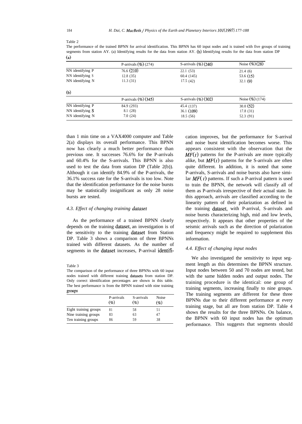The performance of the trained BPNN for arrival identification. This BPNN has 60 input nodes and is trained with five groups of training segments from station AY. (a) Identifying results for the data from station AY. (b) Identifying results for the data from station DP *(a)*

| P-arrivals $(\%)$ (274) | S-arrivals $(\%)$ (240) | Noise $(\%)(28)$   |
|-------------------------|-------------------------|--------------------|
| 76.6 (210)              | 22.1(53)                | 21.4(6)            |
| 12.8(35)                | 60.4(145)               | 53.6(15)           |
| 11.3(31)                | 17.5(42)                | 32.1(9)            |
|                         |                         |                    |
| P-arrivals $(\%)(345)$  | S-arrivals $(\%)$ (302) | Noise $(\%)$ (174) |
| 84.9 (293)              | 45.4 (137)              | 30.0(52)           |
| 8.1(28)                 | 36.1(109)               | 17.8(31)           |
|                         |                         |                    |
|                         |                         |                    |

than 1 min time on a VAX4000 computer and Table 2(a) displays its overall performance. This BPNN now has clearly a much better performance than previous one. It successes 76.6% for the P-arrivals and 60.4% for the S-arrivals. This BPNN is also used to test the data from station DP (Table 2(b)). Although it can identify 84.9% of the P-arrivals, the 36.1% success rate for the S-arrivals is too low. Note that the identification performance for the noise bursts may be statistically insignificant as only 28 noise bursts are tested.

# *4.3. Effect of changing training dataset*

As the performance of a trained BPNN clearly depends on the training dataset, an investigation is of the sensitivity to the training dataset from Station DP. Table 3 shows a comparison of three BPNNs trained with different datasets. As the number of segments in the dataset increases, P-arrival identifi-

# Table 3

The comparison of the performance of three BPNNs with 60 input nodes trained with different training datasets from station DP. Only correct identification percentages are shown in this table. The best performance is from the BPNN trained with nine training groups

|                       | P-arrivals<br>$(\%)$ | S-arrivals<br>$(\%)$ | <b>Noise</b><br>$(\%)$ |
|-----------------------|----------------------|----------------------|------------------------|
| Eight training groups | 81                   | 58                   | 51                     |
| Nine training groups  | 83                   | 63                   | 47                     |
| Ten training groups   | 86                   | 59                   | 38                     |

cation improves, but the performance for S-arrival and noise burst identification becomes worse. This appears consistent with the observation that the  $MF(t)$  patterns for the P-arrivals are more typically alike, but  $MF(t)$  patterns for the S-arrivals are often quite different. In addition, it is noted that some P-arrivals, S-arrivals and noise bursts also have similar  $MF(t)$  patterns. If such a P-arrival pattern is used to train the BPNN, the network will classify all of them as P-arrivals irrespective of their actual state. In this approach, arrivals are classified according to the linearity pattern of their polarization as defined in the training dataset, with P-arrival, S-arrivals and noise bursts characterizing high, mid and low levels, respectively. It appears that other properties of the seismic arrivals such as the direction of polarization and frequency might be required to supplement this information.

# *4.4. Effect of changing input nodes*

We also investigated the sensitivity to input segment length as this determines the BPNN structure. Input nodes between 50 and 70 nodes are tested, but with the same hidden nodes and output nodes. The training procedure is the identical: one group of training segments, increasing finally to nine groups. The training segments are different for these three BPNNs due to their different performance at every training stage, but all are from station DP. Table 4 shows the results for the three BPNNs. On balance, the BPNN with 60 input nodes has the optimum performance. This suggests that segments should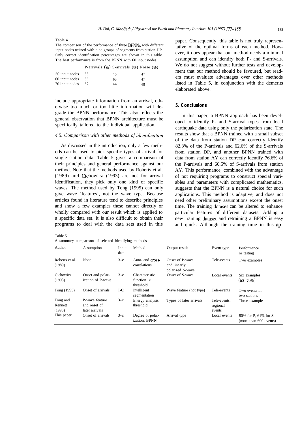Table 4

The comparison of the performance of three BPNNs with different input nodes trained with nine groups of segments from station DP. Only correct identification percentages are shown in this table. The best performance is from the BPNN with 60 input nodes

|                |    |    | P-arrivals $(\%)$ S-arrivals $(\%)$ Noise $(\%)$ |  |
|----------------|----|----|--------------------------------------------------|--|
| 50 input nodes | 88 | 45 | 47                                               |  |
| 60 input nodes | 83 | 63 | 47                                               |  |
| 70 input nodes | 87 | 44 | 48                                               |  |
|                |    |    |                                                  |  |

include appropriate information from an arrival, otherwise too much or too little information will degrade the BPNN performance. This also reflects the general observation that BPNN architecture must be specifically tailored to the individual application.

# 4.5. Comparison with other methods of identification

As discussed in the introduction, only a few methods can be used to pick specific types of arrival for single station data. Table 5 gives a comparison of their principles and general performance against our method. Note that the methods used by Roberts et al.  $(1989)$  and Cichowicz  $(1993)$  are not for arrival identification, they pick only one kind of specific waves. The method used by Tong (1995) can only give wave 'features', not the wave type. Because articles found in literature tend to describe principles and show a few examples these cannot directly or wholly compared with our result which is applied to a specific data set. It is also difficult to obtain their programs to deal with the data sets used in this

Table 5

A summary comparison of selected identifying methods

paper. Consequently, this table is not truly representative of the optimal forms of each method. However, it does appear that our method needs a minimal assumption and can identify both P- and S-arrivals. We do not suggest without further tests and development that our method should be favoured, but readers must evaluate advantages over other methods listed in Table 5, in conjunction with the demerits elaborated above.

# **5. Conclusions**

In this paper, a BPNN approach has been developed to identify P- and S-arrival types from local earthquake data using only the polarization state. The results show that a BPNN trained with a small subset of the data from station DP can correctly identify 82.3% of the P-arrivals and 62.6% of the S-arrivals from station DP, and another BPNN trained with data from station AY can correctly identify 76.6% of the P-arrivals and 60.5% of S-arrivals from station AY. This performance, combined with the advantage of not requiring programs to construct special variables and parameters with complicated mathematics, suggests that the BPNN is a natural choice for such applications. This method is adaptive, and does not need other preliminary assumptions except the onset time. The training dataset can be altered to enhance particular features of different datasets. Adding a new training dataset and retraining a BPNN is easy and quick. Although the training time in this ap-

| Author                        | Assumption                                       | Input<br>data | Method                                      | Output result                                       | Event type                         | Performance<br>or testing                      |
|-------------------------------|--------------------------------------------------|---------------|---------------------------------------------|-----------------------------------------------------|------------------------------------|------------------------------------------------|
| Roberts et al.<br>(1989)      | None                                             | $3-c$         | Auto- and cross-<br>correlations            | Onset of P-wave<br>and linearly<br>polarized S-wave | Tele-events                        | Two examples                                   |
| Cichowicz<br>(1993)           | Onset and polar-<br>ization of P-wave            | $3-c$         | Characteristic<br>function $>$<br>threshold | Onset of S-wave                                     | Local events                       | Six examples<br>$(65 - 70\%)$                  |
| Tong (1995)                   | Onset of arrivals                                | I-C           | Intelligent<br>segmentation                 | Wave feature (not type)                             | Tele-events                        | Two events in<br>two stations                  |
| Tong and<br>Kennett<br>(1995) | P-wave feature<br>and onset of<br>later arrivals | $3-c$         | Energy analysis,<br>threshold               | Types of later arrivals                             | Tele-events.<br>regional<br>events | Three examples                                 |
| This paper                    | Onset of arrivals                                | $3-c$         | Degree of polar-<br>ization, BPNN           | Arrival type                                        | Local events                       | 80% for P, 61% for S<br>(more than 600 events) |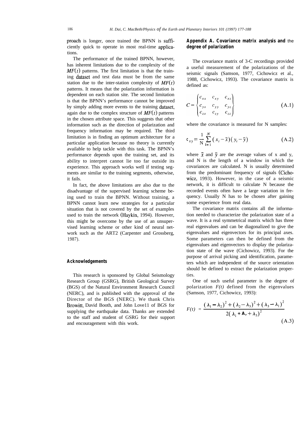proach is longer, once trained the BPNN is sufficiently quick to operate in most real-time applications.

The performance of the trained BPNN, however, has inherent limitations due to the complexity of the  $MF(t)$  patterns. The first limitation is that the training dataset and test data must be from the same station due to the inter-station complexity of  $MF(t)$ patterns. It means that the polarization information is dependent on each station site. The second limitation is that the BPNN's performance cannot be improved by simply adding more events to the training dataset, again due to the complex structure of  $MF(t)$  patterns in the chosen attribute space. This suggests that other information such as the direction of polarization and frequency information may be required. The third limitation is in finding an optimum architecture for a particular application because no theory is currently available to help tackle with this task. The BPNN's performance depends upon the training set, and its ability to interpret cannot lie too far outside its experience. This approach works well if testing segments are similar to the training segments, otherwise, it fails.

In fact, the above limitations are also due to the disadvantage of the supervised learning scheme being used to train the BPNN. Without training, a BPNN cannot learn new strategies for a particular situation that is not covered by the set of examples used to train the network (Haykin, 1994). However, this might be overcome by the use of an unsupervised learning scheme or other kind of neural network such as the ART2 (Carpenter and Grossberg, 1987).

# **Acknowledgements**

This research is sponsored by Global Seismology Research Group (GSRG), British Geological Survey (BGS) of the Natural Environment Research Council (NERC), and is published with the approval of the Director of the BGS (NERC). We thank Chris Browitt, David Booth, and John Love11 of BGS for supplying the earthquake data. Thanks are extended to the staff and student of GSRG for their support and encouragement with this work.

# **Appendix A. Covariance matrix analysis and** the **degree of polarization**

The covariance matrix of 3-C recordings provided a useful measurement of the polarizations of the seismic signals (Samson, 1977, Cichowicz et al., 1988, Cichowicz, 1993). The covariance matrix is defined as:

$$
C = \begin{Bmatrix} c_{xx} & c_{xy} & c_{xz} \\ c_{yx} & c_{yy} & c_{yz} \\ c_{zx} & c_{zy} & c_{zz} \end{Bmatrix}
$$
 (A.1)

where the covariance is measured for N samples:

$$
c_{xy} = \frac{1}{N} \sum_{i=1}^{N} (x_i - \bar{x})(y_i - \bar{y})
$$
 (A.2)

where  $\bar{x}$  and  $\bar{y}$  are the average values of x and y, and N is the length of a window in which the covariances are calculated. N is usually determined from the predominant frequency of signals (Cichowicz, 1993). However, in the case of a seismic network, it is difficult to calculate N because the recorded events often have a large variation in frequency. Usually N has to be chosen after gaining some experience from real data.

The covariance matrix contains all the information needed to characterize the polarization state of a wave. It is a real symmetrical matrix which has three real eigenvalues and can be diagonalized to give the eigenvalues and eigenvectors for its principal axes. Some parameters can then be defined from the eigenvalues and eigenvectors to display the polarization state of the wave (Cichowicz, 1993). For the purpose of arrival picking and identification, parameters which are independent of the source orientation should be defined to extract the polarization properties.

One of such useful parameter is the degree of polarization  $F(t)$  defined from the eigenvalues (Samson, 1977, Cichowicz, 1993):

$$
F(t) = \frac{(\lambda_1 - \lambda_2)^2 + (\lambda_2 - \lambda_3)^2 + (\lambda_3 - \lambda_1)^2}{2(\lambda_1 + A_1 + \lambda_3)^2}
$$
\n(A.3)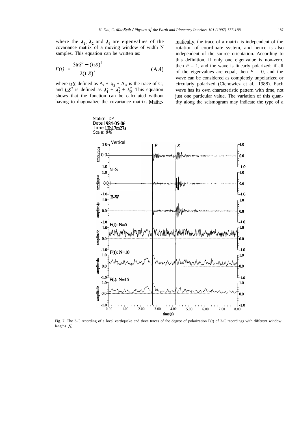where the  $\lambda_1$ ,  $\lambda_2$  and  $\lambda_3$  are eigenvalues of the covariance matrix of a moving window of width N samples. This equation can be written as:

$$
F(t) = \frac{3 \text{tr} S^2 - (\text{tr} S)^2}{2(\text{tr} S)^2}
$$
 (A.4)

where trS, defined as  $A_1 + \lambda_2 + A_3$ , is the trace of C, and tr $S^2$  is defined as  $\lambda_1^2 + \lambda_2^2 + \lambda_3^2$ . This equation shows that the function can be calculated without having to diagonalize the covariance matrix. Mathe-

Station: DP

matically, the trace of a matrix is independent of the rotation of coordinate system, and hence is also independent of the source orientation. According to this definition, if only one eigenvalue is non-zero, then  $F = 1$ , and the wave is linearly polarized; if all of the eigenvalues are equal, then  $F = 0$ , and the wave can be considered as completely unpolarized or circularly polarized (Cichowicz et al., 1988). Each wave has its own characteristic pattern with time, not just one particular value. The variation of this quantity along the seismogram may indicate the type of a



Fig. 7. The 3-C recording of a local earthquake and three traces of the degree of polarization F(t) of 3-C recordings with different window lengths  $N$ .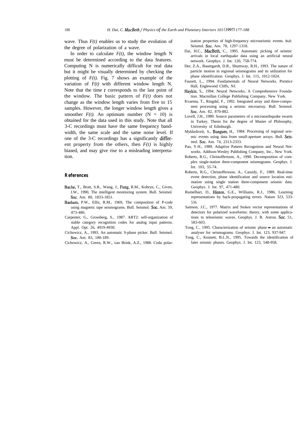wave. Thus *F(t)* enables us to study the evolution of the degree of polarization of a wave.

In order to calculate  $F(t)$ , the window length N must be determined according to the data features. Computing N is numerically difficult for real data but it might be visually determined by checking the plotting of  $F(t)$ . Fig. 7 shows an example of the variation of *F(t)* with different window length N. Note that the time  $t$  corresponds to the last point of the window. The basic pattern of  $F(t)$  does not change as the window length varies from five to 15 samples. However, the longer window length gives a smoother  $F(t)$ . An optimum number  $(N = 10)$  is obtained for the data used in this study. Note that all 3-C recordings must have the same frequency bandwidth, the same scale and the same noise level. If one of the 3-C recordings has a significantly different property from the others, then  $F(t)$  is highly biased, and may give rise to a misleading interpretation.

# **References**

- Bathe, T., Bratt, S.R., Wang, J., Fung, R.M., Kobryn, C., Given, J.W., 1990, The intelligent monitoring system. Bull. Seismol. Soc. Am. 80, 1833-1851.
- Basham, P.W., Ellis, R.M., 1969, The composition of P-code using magnetic tape seismograms. Bull. Seismol. Soc. Am. 59, 473-486.
- Carpenter, G., Grossberg, S., 1987. ART2: self-organization of stable category recognition codes for analog input patterns. Appl. Opt. 26, 4919-4930.
- Cichowicz, A., 1993. An automatic S-phase picker. Bull. Seismol. Soc. Am. 83, 180-189.
- Cichowicz, A., Green, R.W., van Brink, A.Z., 1988. Coda polar-

ization properties of high-frequency microseismic events. Bull. Seismol. Soc. Am. 78, 1297-1318.

- Dai, H.C., MacBeth, C., 1995. Automatic picking of seismic arrivals in local earthquake data using an artificial neural network. Geophys. J. Int. 120, 758-774.
- Der, Z.A., Baumgardt, D.R., Shumway, R.H., 1993. The nature of particle motion in regional seismograms and its utilization for phase identification. Geophys. J. Int. 115, 1012-1024.
- Fausett, L., 1994. Fundamentals of Neural Networks. Prentice Hall, Englewood Cliffs, NJ.
- Haykin, S., 1994. Neural Networks, A Comprehensive Foundation. Macmillan College Publishing Company, New York.
- Kvaema, T., Ringdal, F., 1992. Integrated array and three-component processing using a seismic microarray. Bull. Seismol. Sot. Am. 82, 870-882.
- Lovell, J.H., 1989. Source parameters of a microearthquake swarm in Turkey. Thesis for the degree of Master of Philosophy, University of Edinburgh.
- Mykkeltveit, S., Bungum, H., 1984. Processing of regional seismic events using data from small-aperture arrays. Bull. Seismol. Sot. Am. 74, 2313-2333.
- Pao, Y.H., 1989. Adaptive Pattern Recognition and Neural Networks. Addison-Wesley Publishing Company, Inc., New York.
- Roberts, R.G., Christoffersson, A., 1990. Decomposition of complex single-station three-component seismograms. Geophys. J. Int. 103, 55-74.
- Roberts, R.G., Christoffersson, A., Cassidy, F., 1989. Real-time event detection, phase identification and source location estimation using single station three-component seismic data. Geophys. J. Int. 97, 471-480.
- Rumelhart, D., Hinton, G.E., Williams, R.J., 1986, Learning representations by back-propagating errors. Nature 323, 533- 536.
- Samson, J.C., 1977. Matrix and Stokes vector representations of detectors for polarized waveforms: theory, with some applications to teleseismic waves. Geophys. J. R. Astron. Soc. 51, 583-603.
- Tong, C., 1995. Characterization of seismic phase an automatic analyser for seismograms. Geophys. J. Int. 123, 937-947.
- Tong, C., Kennett, B.L.N., 1995. Towards the identification of later seismic phases. Geophys. J. Int. 123, 548-958.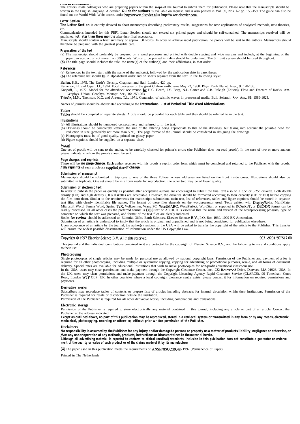**The Editors invite colleagues who are preparing papers within the <b>scope** of the Journal to submit them for publication. Please note that the manuscripts should be<br>The Editors invite colleagues who are preparing papers wi written in the English language. A detailed *Guide for authors* is available on request, and is also printed in Vol. 99, Nos. l-2 pp. 155-159. The guide can also be found on the World Wide Web: access under http://www.elsevier.nl or http://www.elsevier.com.

## *Letter Section*

*The Letter Section* is entirely devoted to short manuscripts describing preliminary results, suggestions for new applications of analytical methods, new theories, etc.

Communications intended for this PEP1 Letter Section should not exceed six printed pages and should be self-contained. The manuscripts received will be published *not later than three months* after their final acceptance.

Manuscripts should contain a brief summary of approx. 50 words. In order to achieve rapid publication, no proofs will be sent to the authors. Manuscripts should therefore be prepared with the greatest possible care.

# *Preparation of the text*

(a) The manuscript should preferably be prepared on a word processor and printed with double spacing and wide margins and include, at the beginning of the paper, an abstract of not more than 500 words. Words to be printed in italics should be underlined. The S.I. unit system should be used throughout.<br>(b) The title page should include: the title, the name(s) of the author(s)

# *References*

(a) References in the text start with the name of the author(s), followed by the publication date in parentheses.

(b) The reference list should be in alphabetical order and on sheets separate from the text, in the following style:

Bullen, K.E., 1975. The Earth's Density. Chapman and Hall, London, 420 pp.

Kanamori, H. and Cipar, J.J., 1974. Focal processes of the great Chilean earthquake May 22, 1960. Phys. Earth Planet. Inter., 9: 128-136.

Knopoff, L., 1972. Model for the aftershock occurrence. In: H.C. Heard, I.Y. Borg, N.L. Carter and C.B. Raleigh (Editors), Flow and Fracture of Rocks. Am. Geophys. Union, Geophys. Monogr. Ser., 16: 259-263.<br>Toksöz, M.N., Thomson, K.C. and Ahrens, T.J., 1971. Generation of seismic waves in prestressed media. Bull. Seismol. Soc. Am., 61: 1589-1623.

# Names of journals should be abbreviated according to the *International List of Periodical Title Word Abbreviations.*

# **Tables**

Tables should be compiled on separate sheets. A title should be provided for each table and they should be referred to in the text.

# *Illustrations*

- (a) All illustrations should be numbered consecutively and referred to in the text.
- (b) Drawings should be completely lettered, the size of the lettering being appropriate to that of the drawings, but taking into account the possible need for reduction in size (preferably not more than 50%). The page form
- (c) Photographs must be of good quality, printed on glossy paper.
- (d) Figure captions should be supplied on a separate sheet.

# *Proofs*

One set of proofs will be sent to the author, to be carefully checked for printer's errors (the Publisher does not read proofs). In the case of two or more authors please indicate to whom the proofs should be sent.

# *Page charges and reprints*

The vill be **no page charge.** Each author receives with his proofs a reprint order form which must be completed and returned to the Publisher with the proofs. *Fifty reprints* of each article are supplied *free* of charge.

# *Submission of manuscript*

Manuscripts should be submitted in triplicate to one of the three Editors, whose addresses are listed on the front inside cover. Illustrations should also be submitted in triplicate. One set should be in a form ready for reproduction; the other two may be of lower quality.

# *Submission of electronic text*

In order to publish the paper as quickly as possible after acceptance authors are encouraged to submit the final text also on a 3.5" or 5.25" diskette. Both double density (DD) and high density (HD) diskettes are acceptable. However, the diskettes should be formatted according to their capacity (HD or DD) before copying the files onto them. Similar to the requirements for manuscripts submission, main text, list of references, tables and figure captions should be stored in separate text files with clearly identifiable file names. The forma computer on which the text was prepared, and format of the text files are clearly indicated.<br>Books for review should be addressed to: Editorial Office Earth Sciences, Elsevier Science B.V., P.O. Box 1930, 1000 BX Amsterdam

Submission of an article is understood to imply that the article is original and unpublished and is not being considered for publication elsewhere.

Upon acceptance of an article by the journal, the author(s) resident in the USA will be asked to transfer the copyright of the article to the Publisher. This transfer will ensure the widest possible dissemination of inform

# Copyright © 1997 Elsevier Science B.V. All rights reserved.

# 0031-9201/97/\$17.00

This journal and the individual contributions contained in it are protected by the copyright of Elsevier Science B.V., and the following terms and conditions apply to their use:

# **Photocopying**

Single photocopies of single articles may be made for personal use as allowed by national copyright laws. Permission of the Publisher and payment of a fee is required for all other photocopying, including multiple or systematic copying, copying for advertising or promotional purposes, resale, and all forms of document delivery. Special rates are available for educational institutions that wish to make photocopies for non-profit educational classroom use.

In the USA, users may clear permissions and make payment through the Copyright Clearance Center, Inc., 222 Rosewood Drive, Danvers, MA 01923, USA. In the UK, users may clear permissions and make payment through the Copyright Licensing Agency Rapid Clearance Service (CLARCS), 90 Tottenham Court<br>Road, London W1P OLP, UK. In other countries where a local copyright clearanc payments.

# **Derivative works**

Subscribers may reproduce tables of contents or prepare lists of articles including abstracts for internal circulation within their institutions. Permission of the Publisher is required for resale or distribution outside the institution.

Permission of the Publisher is required for all other derivative works, including compilations and translations.

# **Electronic storage**

Permission of the Publisher is required to store electronically any material contained in this journal, including any article or part of an article. Contact the Publisher at the address indicated.

Except as outlined above, no part of this publication may be reproduced, stored in a retrieval system or transmitted in any form or by any means, electronic,<br>mechanical, photocopying, recording or otherwise, without prior

## **Disclaimers**

No responsibility is assumed by the Publisher for any injury andlor damage to persons or property us a matter of products liability, negligence or otherwise, or<br>from any use or operation of any methods, products, instructi *Although all advertising material is expected to conform to ethical (medical) standards, inclusion in this publication does not constitute a guarantee or endorsement of the quality or value of such product or of the claims made of it by its manufacturer.*

@ The paper used in this publication meets the requirements of ANSI/NISO Z39.48- 1992 (Permanence of Paper).

Printed in The Netherlands